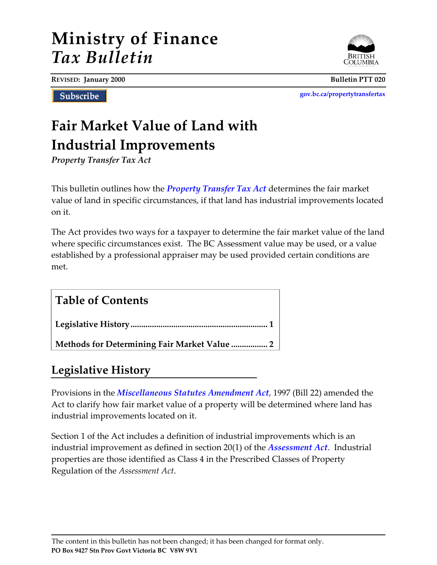# **Ministry of Finance** *Tax Bulletin*



Subscribe

**[gov.bc.ca/propertytransfertax](http://www.gov.bc.ca/propertytransfertax)**

# **Fair Market Value of Land with Industrial Improvements**

*Property Transfer Tax Act*

This bulletin outlines how the *[Property Transfer Tax Act](http://www.bclaws.ca/EPLibraries/bclaws_new/document/ID/freeside/00_96378_01)* determines the fair market value of land in specific circumstances, if that land has industrial improvements located on it.

The Act provides two ways for a taxpayer to determine the fair market value of the land where specific circumstances exist. The BC Assessment value may be used, or a value established by a professional appraiser may be used provided certain conditions are met.

**Table of Contents Legislative History................................................................ 1 Methods for Determining Fair Market Value ................. 2**

## **Legislative History**

Provisions in the *[Miscellaneous Statutes Amendment Act](http://www.leg.bc.ca/36th2nd/3rd_read/gov22-3.htm)*, 1997 (Bill 22) amended the Act to clarify how fair market value of a property will be determined where land has industrial improvements located on it.

Section 1 of the Act includes a definition of industrial improvements which is an industrial improvement as defined in section 20(1) of the *[Assessment Act](http://www.bclaws.ca/EPLibraries/bclaws_new/document/ID/freeside/00_96020_01)*. Industrial properties are those identified as Class 4 in the Prescribed Classes of Property Regulation of the *Assessment Act*.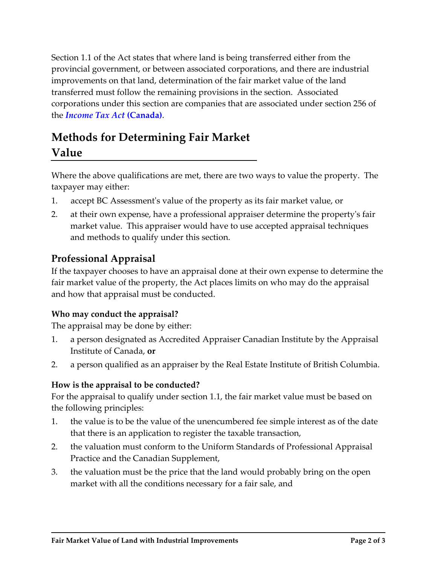Section 1.1 of the Act states that where land is being transferred either from the provincial government, or between associated corporations, and there are industrial improvements on that land, determination of the fair market value of the land transferred must follow the remaining provisions in the section. Associated corporations under this section are companies that are associated under section 256 of the *Income Tax Act* **[\(Canada\)](http://laws.justice.gc.ca/en/i-3.3/)**.

### **Methods for Determining Fair Market Value**

Where the above qualifications are met, there are two ways to value the property. The taxpayer may either:

- 1. accept BC Assessment's value of the property as its fair market value, or
- 2. at their own expense, have a professional appraiser determine the property's fair market value. This appraiser would have to use accepted appraisal techniques and methods to qualify under this section.

### **Professional Appraisal**

If the taxpayer chooses to have an appraisal done at their own expense to determine the fair market value of the property, the Act places limits on who may do the appraisal and how that appraisal must be conducted.

#### **Who may conduct the appraisal?**

The appraisal may be done by either:

- 1. a person designated as Accredited Appraiser Canadian Institute by the Appraisal Institute of Canada, **or**
- 2. a person qualified as an appraiser by the Real Estate Institute of British Columbia.

#### **How is the appraisal to be conducted?**

For the appraisal to qualify under section 1.1, the fair market value must be based on the following principles:

- 1. the value is to be the value of the unencumbered fee simple interest as of the date that there is an application to register the taxable transaction,
- 2. the valuation must conform to the Uniform Standards of Professional Appraisal Practice and the Canadian Supplement,
- 3. the valuation must be the price that the land would probably bring on the open market with all the conditions necessary for a fair sale, and